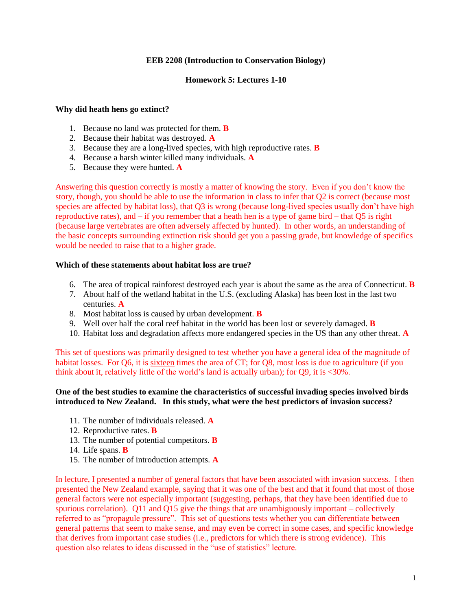## **EEB 2208 (Introduction to Conservation Biology)**

### **Homework 5: Lectures 1-10**

#### **Why did heath hens go extinct?**

- 1. Because no land was protected for them. **B**
- 2. Because their habitat was destroyed. **A**
- 3. Because they are a long-lived species, with high reproductive rates. **B**
- 4. Because a harsh winter killed many individuals. **A**
- 5. Because they were hunted. **A**

Answering this question correctly is mostly a matter of knowing the story. Even if you don't know the story, though, you should be able to use the information in class to infer that Q2 is correct (because most species are affected by habitat loss), that Q3 is wrong (because long-lived species usually don't have high reproductive rates), and – if you remember that a heath hen is a type of game bird – that Q5 is right (because large vertebrates are often adversely affected by hunted). In other words, an understanding of the basic concepts surrounding extinction risk should get you a passing grade, but knowledge of specifics would be needed to raise that to a higher grade.

# **Which of these statements about habitat loss are true?**

- 6. The area of tropical rainforest destroyed each year is about the same as the area of Connecticut. **B**
- 7. About half of the wetland habitat in the U.S. (excluding Alaska) has been lost in the last two centuries. **A**
- 8. Most habitat loss is caused by urban development. **B**
- 9. Well over half the coral reef habitat in the world has been lost or severely damaged. **B**
- 10. Habitat loss and degradation affects more endangered species in the US than any other threat. **A**

This set of questions was primarily designed to test whether you have a general idea of the magnitude of habitat losses. For Q6, it is sixteen times the area of CT; for Q8, most loss is due to agriculture (if you think about it, relatively little of the world's land is actually urban); for Q9, it is <30%.

## **One of the best studies to examine the characteristics of successful invading species involved birds introduced to New Zealand. In this study, what were the best predictors of invasion success?**

- 11. The number of individuals released. **A**
- 12. Reproductive rates. **B**
- 13. The number of potential competitors. **B**
- 14. Life spans. **B**
- 15. The number of introduction attempts. **A**

In lecture, I presented a number of general factors that have been associated with invasion success. I then presented the New Zealand example, saying that it was one of the best and that it found that most of those general factors were not especially important (suggesting, perhaps, that they have been identified due to spurious correlation). Q11 and Q15 give the things that are unambiguously important – collectively referred to as "propagule pressure". This set of questions tests whether you can differentiate between general patterns that seem to make sense, and may even be correct in some cases, and specific knowledge that derives from important case studies (i.e., predictors for which there is strong evidence). This question also relates to ideas discussed in the "use of statistics" lecture.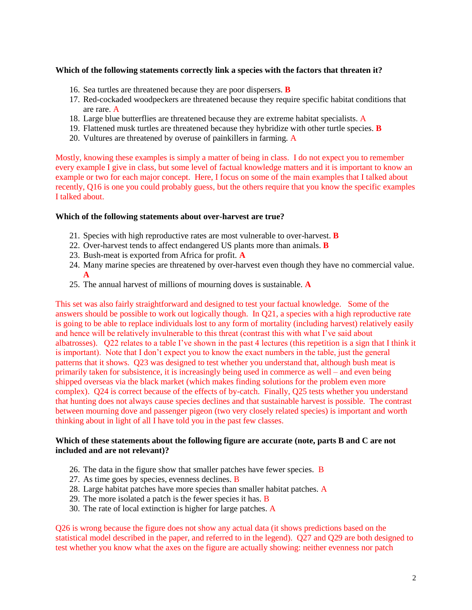## **Which of the following statements correctly link a species with the factors that threaten it?**

- 16. Sea turtles are threatened because they are poor dispersers. **B**
- 17. Red-cockaded woodpeckers are threatened because they require specific habitat conditions that are rare. A
- 18. Large blue butterflies are threatened because they are extreme habitat specialists. A
- 19. Flattened musk turtles are threatened because they hybridize with other turtle species. **B**
- 20. Vultures are threatened by overuse of painkillers in farming. A

Mostly, knowing these examples is simply a matter of being in class. I do not expect you to remember every example I give in class, but some level of factual knowledge matters and it is important to know an example or two for each major concept. Here, I focus on some of the main examples that I talked about recently, Q16 is one you could probably guess, but the others require that you know the specific examples I talked about.

#### **Which of the following statements about over-harvest are true?**

- 21. Species with high reproductive rates are most vulnerable to over-harvest. **B**
- 22. Over-harvest tends to affect endangered US plants more than animals. **B**
- 23. Bush-meat is exported from Africa for profit. **A**
- 24. Many marine species are threatened by over-harvest even though they have no commercial value. **A**
- 25. The annual harvest of millions of mourning doves is sustainable. **A**

This set was also fairly straightforward and designed to test your factual knowledge. Some of the answers should be possible to work out logically though. In Q21, a species with a high reproductive rate is going to be able to replace individuals lost to any form of mortality (including harvest) relatively easily and hence will be relatively invulnerable to this threat (contrast this with what I've said about albatrosses). Q22 relates to a table I've shown in the past 4 lectures (this repetition is a sign that I think it is important). Note that I don't expect you to know the exact numbers in the table, just the general patterns that it shows. Q23 was designed to test whether you understand that, although bush meat is primarily taken for subsistence, it is increasingly being used in commerce as well – and even being shipped overseas via the black market (which makes finding solutions for the problem even more complex). Q24 is correct because of the effects of by-catch. Finally, Q25 tests whether you understand that hunting does not always cause species declines and that sustainable harvest is possible. The contrast between mourning dove and passenger pigeon (two very closely related species) is important and worth thinking about in light of all I have told you in the past few classes.

## **Which of these statements about the following figure are accurate (note, parts B and C are not included and are not relevant)?**

- 26. The data in the figure show that smaller patches have fewer species.  $\overline{B}$
- 27. As time goes by species, evenness declines. B
- 28. Large habitat patches have more species than smaller habitat patches. A
- 29. The more isolated a patch is the fewer species it has.  $\overline{B}$
- 30. The rate of local extinction is higher for large patches. A

Q26 is wrong because the figure does not show any actual data (it shows predictions based on the statistical model described in the paper, and referred to in the legend). Q27 and Q29 are both designed to test whether you know what the axes on the figure are actually showing: neither evenness nor patch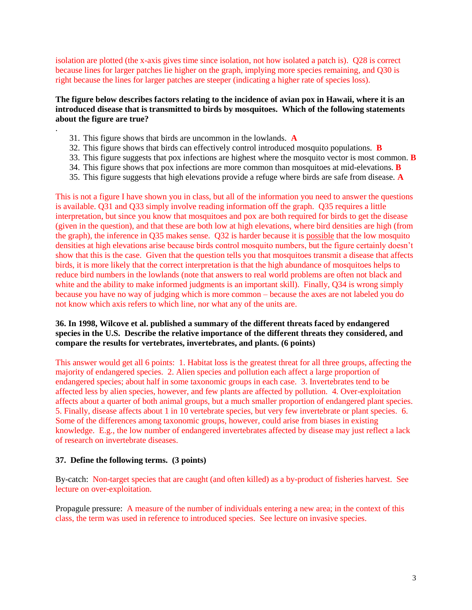isolation are plotted (the x-axis gives time since isolation, not how isolated a patch is). Q28 is correct because lines for larger patches lie higher on the graph, implying more species remaining, and Q30 is right because the lines for larger patches are steeper (indicating a higher rate of species loss).

# **The figure below describes factors relating to the incidence of avian pox in Hawaii, where it is an introduced disease that is transmitted to birds by mosquitoes. Which of the following statements about the figure are true?**

31. This figure shows that birds are uncommon in the lowlands. **A**

.

- 32. This figure shows that birds can effectively control introduced mosquito populations. **B**
- 33. This figure suggests that pox infections are highest where the mosquito vector is most common. **B**
- 34. This figure shows that pox infections are more common than mosquitoes at mid-elevations. **B**
- 35. This figure suggests that high elevations provide a refuge where birds are safe from disease. **A**

This is not a figure I have shown you in class, but all of the information you need to answer the questions is available. Q31 and Q33 simply involve reading information off the graph. Q35 requires a little interpretation, but since you know that mosquitoes and pox are both required for birds to get the disease (given in the question), and that these are both low at high elevations, where bird densities are high (from the graph), the inference in Q35 makes sense. Q32 is harder because it is possible that the low mosquito densities at high elevations arise because birds control mosquito numbers, but the figure certainly doesn't show that this is the case. Given that the question tells you that mosquitoes transmit a disease that affects birds, it is more likely that the correct interpretation is that the high abundance of mosquitoes helps to reduce bird numbers in the lowlands (note that answers to real world problems are often not black and white and the ability to make informed judgments is an important skill). Finally, Q34 is wrong simply because you have no way of judging which is more common – because the axes are not labeled you do not know which axis refers to which line, nor what any of the units are.

# **36. In 1998, Wilcove et al. published a summary of the different threats faced by endangered species in the U.S. Describe the relative importance of the different threats they considered, and compare the results for vertebrates, invertebrates, and plants. (6 points)**

This answer would get all 6 points: 1. Habitat loss is the greatest threat for all three groups, affecting the majority of endangered species. 2. Alien species and pollution each affect a large proportion of endangered species; about half in some taxonomic groups in each case. 3. Invertebrates tend to be affected less by alien species, however, and few plants are affected by pollution. 4. Over-exploitation affects about a quarter of both animal groups, but a much smaller proportion of endangered plant species. 5. Finally, disease affects about 1 in 10 vertebrate species, but very few invertebrate or plant species. 6. Some of the differences among taxonomic groups, however, could arise from biases in existing knowledge. E.g., the low number of endangered invertebrates affected by disease may just reflect a lack of research on invertebrate diseases.

## **37. Define the following terms. (3 points)**

By-catch: Non-target species that are caught (and often killed) as a by-product of fisheries harvest. See lecture on over-exploitation.

Propagule pressure: A measure of the number of individuals entering a new area; in the context of this class, the term was used in reference to introduced species. See lecture on invasive species.